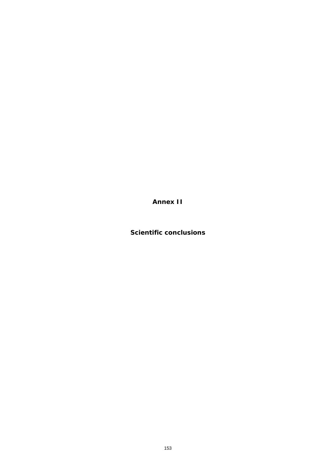**Annex II**

**Scientific conclusions**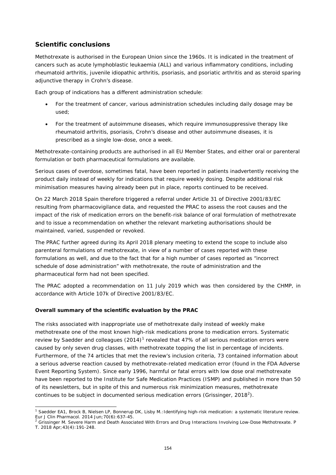## **Scientific conclusions**

Methotrexate is authorised in the European Union since the 1960s. It is indicated in the treatment of cancers such as acute lymphoblastic leukaemia (ALL) and various inflammatory conditions, including rheumatoid arthritis, juvenile idiopathic arthritis, psoriasis, and psoriatic arthritis and as steroid sparing adjunctive therapy in Crohn's disease.

Each group of indications has a different administration schedule:

- For the treatment of cancer, various administration schedules including daily dosage may be used;
- For the treatment of autoimmune diseases, which require immunosuppressive therapy like rheumatoid arthritis, psoriasis, Crohn's disease and other autoimmune diseases, it is prescribed as a single low-dose, once a week.

Methotrexate-containing products are authorised in all EU Member States, and either oral or parenteral formulation or both pharmaceutical formulations are available.

Serious cases of overdose, sometimes fatal, have been reported in patients inadvertently receiving the product daily instead of weekly for indications that require weekly dosing. Despite additional risk minimisation measures having already been put in place, reports continued to be received.

On 22 March 2018 Spain therefore triggered a referral under Article 31 of Directive 2001/83/EC resulting from pharmacovigilance data, and requested the PRAC to assess the root causes and the impact of the risk of medication errors on the benefit-risk balance of oral formulation of methotrexate and to issue a recommendation on whether the relevant marketing authorisations should be maintained, varied, suspended or revoked.

The PRAC further agreed during its April 2018 plenary meeting to extend the scope to include also parenteral formulations of methotrexate, in view of a number of cases reported with these formulations as well, and due to the fact that for a high number of cases reported as "incorrect schedule of dose administration" with methotrexate, the route of administration and the pharmaceutical form had not been specified.

The PRAC adopted a recommendation on 11 July 2019 which was then considered by the CHMP, in accordance with Article 107k of Directive 2001/83/EC.

## **Overall summary of the scientific evaluation by the PRAC**

The risks associated with inappropriate use of methotrexate daily instead of weekly make methotrexate one of the most known high-risk medications prone to medication errors. Systematic review by Saedder and colleagues  $(2014)^1$  revealed that 47% of all serious medication errors were caused by only seven drug classes, with methotrexate topping the list in percentage of incidents. Furthermore, of the 74 articles that met the review's inclusion criteria, 73 contained information about a serious adverse reaction caused by methotrexate-related medication error (found in the FDA Adverse Event Reporting System). Since early 1996, harmful or fatal errors with low dose oral methotrexate have been reported to the Institute for Safe Medication Practices (ISMP) and published in more than 50 of its newsletters, but in spite of this and numerous risk minimization measures, methotrexate continues to be subject in documented serious medication errors (Grissinger, 2018<sup>2</sup>).

<sup>&</sup>lt;sup>1</sup> Saedder EA1, Brock B, Nielsen LP, Bonnerup DK, Lisby M.: Identifying high-risk medication: a systematic literature review. Eur J Clin Pharmacol. 2014 Jun; 70(6): 637-45.<br><sup>2</sup> Grissinger M. Severe Harm and Death Associated With Errors and Drug Interactions Involving Low-Dose Methotrexate. P

T. 2018 Apr;43(4):191-248.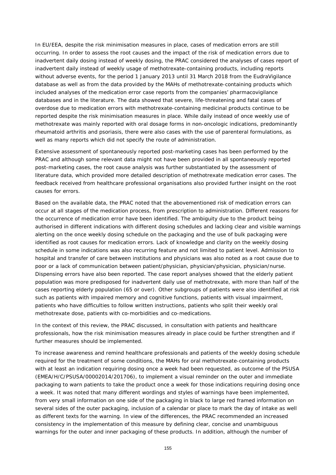In EU/EEA, despite the risk minimisation measures in place, cases of medication errors are still occurring. In order to assess the root causes and the impact of the risk of medication errors due to inadvertent daily dosing instead of weekly dosing, the PRAC considered the analyses of cases report of inadvertent daily instead of weekly usage of methotrexate-containing products, including reports without adverse events, for the period 1 January 2013 until 31 March 2018 from the EudraVigilance database as well as from the data provided by the MAHs of methotrexate-containing products which included analyses of the medication error case reports from the companies' pharmacovigilance databases and in the literature. The data showed that severe, life-threatening and fatal cases of overdose due to medication errors with methotrexate-containing medicinal products continue to be reported despite the risk minimisation measures in place. While daily instead of once weekly use of methotrexate was mainly reported with oral dosage forms in non-oncologic indications, predominantly rheumatoid arthritis and psoriasis, there were also cases with the use of parenteral formulations, as well as many reports which did not specify the route of administration.

Extensive assessment of spontaneously reported post-marketing cases has been performed by the PRAC and although some relevant data might not have been provided in all spontaneously reported post-marketing cases, the root cause analysis was further substantiated by the assessment of literature data, which provided more detailed description of methotrexate medication error cases. The feedback received from healthcare professional organisations also provided further insight on the root causes for errors.

Based on the available data, the PRAC noted that the abovementioned risk of medication errors can occur at all stages of the medication process, from prescription to administration. Different reasons for the occurrence of medication error have been identified. The ambiguity due to the product being authorised in different indications with different dosing schedules and lacking clear and visible warnings alerting on the once weekly dosing schedule on the packaging and the use of bulk packaging were identified as root causes for medication errors. Lack of knowledge and clarity on the weekly dosing schedule in some indications was also recurring feature and not limited to patient level. Admission to hospital and transfer of care between institutions and physicians was also noted as a root cause due to poor or a lack of communication between patient/physician, physician/physician, physician/nurse. Dispensing errors have also been reported. The case report analyses showed that the elderly patient population was more predisposed for inadvertent daily use of methotrexate, with more than half of the cases reporting elderly population (65 or over). Other subgroups of patients were also identified at risk such as patients with impaired memory and cognitive functions, patients with visual impairment, patients who have difficulties to follow written instructions, patients who split their weekly oral methotrexate dose, patients with co-morbidities and co-medications.

In the context of this review, the PRAC discussed, in consultation with patients and healthcare professionals, how the risk minimisation measures already in place could be further strengthen and if further measures should be implemented.

To increase awareness and remind healthcare professionals and patients of the weekly dosing schedule required for the treatment of some conditions, the MAHs for oral methotrexate-containing products with at least an indication requiring dosing once a week had been requested, as outcome of the PSUSA (EMEA/H/C/PSUSA/00002014/201706), to implement a visual reminder on the outer and immediate packaging to warn patients to take the product once a week for those indications requiring dosing once a week. It was noted that many different wordings and styles of warnings have been implemented, from very small information on one side of the packaging in black to large red framed information on several sides of the outer packaging, inclusion of a calendar or place to mark the day of intake as well as different texts for the warning. In view of the differences, the PRAC recommended an increased consistency in the implementation of this measure by defining clear, concise and unambiguous warnings for the outer and inner packaging of these products. In addition, although the number of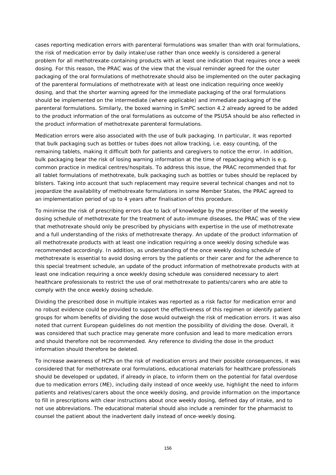cases reporting medication errors with parenteral formulations was smaller than with oral formulations, the risk of medication error by daily intake/use rather than once weekly is considered a general problem for all methotrexate-containing products with at least one indication that requires once a week dosing. For this reason, the PRAC was of the view that the visual reminder agreed for the outer packaging of the oral formulations of methotrexate should also be implemented on the outer packaging of the parenteral formulations of methotrexate with at least one indication requiring once weekly dosing, and that the shorter warning agreed for the immediate packaging of the oral formulations should be implemented on the intermediate (where applicable) and immediate packaging of the parenteral formulations. Similarly, the boxed warning in SmPC section 4.2 already agreed to be added to the product information of the oral formulations as outcome of the PSUSA should be also reflected in the product information of methotrexate parenteral formulations.

Medication errors were also associated with the use of bulk packaging. In particular, it was reported that bulk packaging such as bottles or tubes does not allow tracking, i.e. easy counting, of the remaining tablets, making it difficult both for patients and caregivers to notice the error. In addition, bulk packaging bear the risk of losing warning information at the time of repackaging which is e.g. common practice in medical centres/hospitals. To address this issue, the PRAC recommended that for all tablet formulations of methotrexate, bulk packaging such as bottles or tubes should be replaced by blisters. Taking into account that such replacement may require several technical changes and not to jeopardize the availability of methotrexate formulations in some Member States, the PRAC agreed to an implementation period of up to 4 years after finalisation of this procedure.

To minimise the risk of prescribing errors due to lack of knowledge by the prescriber of the weekly dosing schedule of methotrexate for the treatment of auto-immune diseases, the PRAC was of the view that methotrexate should only be prescribed by physicians with expertise in the use of methotrexate and a full understanding of the risks of methotrexate therapy. An update of the product information of all methotrexate products with at least one indication requiring a once weekly dosing schedule was recommended accordingly. In addition, as understanding of the once weekly dosing schedule of methotrexate is essential to avoid dosing errors by the patients or their carer and for the adherence to this special treatment schedule, an update of the product information of methotrexate products with at least one indication requiring a once weekly dosing schedule was considered necessary to alert healthcare professionals to restrict the use of oral methotrexate to patients/carers who are able to comply with the once weekly dosing schedule.

Dividing the prescribed dose in multiple intakes was reported as a risk factor for medication error and no robust evidence could be provided to support the effectiveness of this regimen or identify patient groups for whom benefits of dividing the dose would outweigh the risk of medication errors. It was also noted that current European guidelines do not mention the possibility of dividing the dose. Overall, it was considered that such practice may generate more confusion and lead to more medication errors and should therefore not be recommended. Any reference to dividing the dose in the product information should therefore be deleted.

To increase awareness of HCPs on the risk of medication errors and their possible consequences, it was considered that for methotrexate oral formulations, educational materials for healthcare professionals should be developed or updated, if already in place, to inform them on the potential for fatal overdose due to medication errors (ME), including daily instead of once weekly use, highlight the need to inform patients and relatives/carers about the once weekly dosing, and provide information on the importance to fill in prescriptions with clear instructions about once weekly dosing, defined day of intake, and to not use abbreviations. The educational material should also include a reminder for the pharmacist to counsel the patient about the inadvertent daily instead of once-weekly dosing.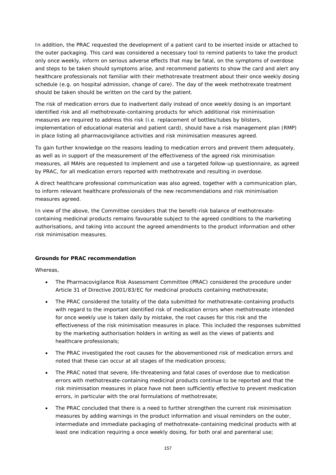In addition, the PRAC requested the development of a patient card to be inserted inside or attached to the outer packaging. This card was considered a necessary tool to remind patients to take the product only once weekly, inform on serious adverse effects that may be fatal, on the symptoms of overdose and steps to be taken should symptoms arise, and recommend patients to show the card and alert any healthcare professionals not familiar with their methotrexate treatment about their once weekly dosing schedule (e.g. on hospital admission, change of care). The day of the week methotrexate treatment should be taken should be written on the card by the patient.

The risk of medication errors due to inadvertent daily instead of once weekly dosing is an important identified risk and all methotrexate-containing products for which additional risk minimisation measures are required to address this risk (i.e. replacement of bottles/tubes by blisters, implementation of educational material and patient card), should have a risk management plan (RMP) in place listing all pharmacovigilance activities and risk minimisation measures agreed.

To gain further knowledge on the reasons leading to medication errors and prevent them adequately, as well as in support of the measurement of the effectiveness of the agreed risk minimisation measures, all MAHs are requested to implement and use a targeted follow-up questionnaire, as agreed by PRAC, for all medication errors reported with methotrexate and resulting in overdose.

A direct healthcare professional communication was also agreed, together with a communication plan, to inform relevant healthcare professionals of the new recommendations and risk minimisation measures agreed.

In view of the above, the Committee considers that the benefit-risk balance of methotrexatecontaining medicinal products remains favourable subject to the agreed conditions to the marketing authorisations, and taking into account the agreed amendments to the product information and other risk minimisation measures.

## **Grounds for PRAC recommendation**

Whereas,

- The Pharmacovigilance Risk Assessment Committee (PRAC) considered the procedure under Article 31 of Directive 2001/83/EC for medicinal products containing methotrexate;
- The PRAC considered the totality of the data submitted for methotrexate-containing products with regard to the important identified risk of medication errors when methotrexate intended for once weekly use is taken daily by mistake, the root causes for this risk and the effectiveness of the risk minimisation measures in place. This included the responses submitted by the marketing authorisation holders in writing as well as the views of patients and healthcare professionals;
- The PRAC investigated the root causes for the abovementioned risk of medication errors and noted that these can occur at all stages of the medication process;
- The PRAC noted that severe, life-threatening and fatal cases of overdose due to medication errors with methotrexate-containing medicinal products continue to be reported and that the risk minimisation measures in place have not been sufficiently effective to prevent medication errors, in particular with the oral formulations of methotrexate;
- The PRAC concluded that there is a need to further strengthen the current risk minimisation measures by adding warnings in the product information and visual reminders on the outer, intermediate and immediate packaging of methotrexate-containing medicinal products with at least one indication requiring a once weekly dosing, for both oral and parenteral use;